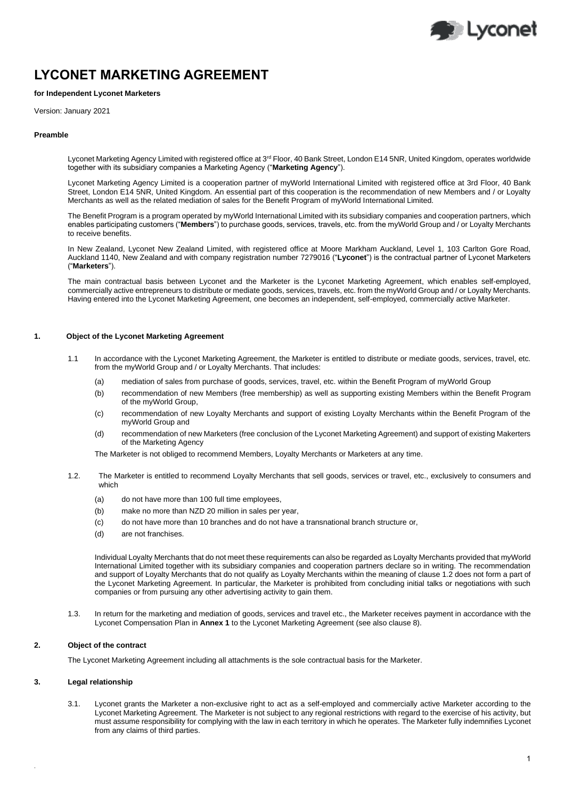

# **LYCONET MARKETING AGREEMENT**

## **for Independent Lyconet Marketers**

Version: January 2021

#### **Preamble**

Lyconet Marketing Agency Limited with registered office at 3<sup>rd</sup> Floor, 40 Bank Street, London E14 5NR, United Kingdom, operates worldwide together with its subsidiary companies a Marketing Agency ("**Marketing Agency**").

Lyconet Marketing Agency Limited is a cooperation partner of myWorld International Limited with registered office at 3rd Floor, 40 Bank Street, London E14 5NR, United Kingdom. An essential part of this cooperation is the recommendation of new Members and / or Loyalty Merchants as well as the related mediation of sales for the Benefit Program of myWorld International Limited.

The Benefit Program is a program operated by myWorld International Limited with its subsidiary companies and cooperation partners, which enables participating customers ("**Members**") to purchase goods, services, travels, etc. from the myWorld Group and / or Loyalty Merchants to receive benefits.

In New Zealand, Lyconet New Zealand Limited, with registered office at Moore Markham Auckland, Level 1, 103 Carlton Gore Road, Auckland 1140, New Zealand and with company registration number 7279016 ("**Lyconet**") is the contractual partner of Lyconet Marketers ("**Marketers**").

The main contractual basis between Lyconet and the Marketer is the Lyconet Marketing Agreement, which enables self-employed, commercially active entrepreneurs to distribute or mediate goods, services, travels, etc. from the myWorld Group and / or Loyalty Merchants. Having entered into the Lyconet Marketing Agreement, one becomes an independent, self-employed, commercially active Marketer.

# **1. Object of the Lyconet Marketing Agreement**

- 1.1 In accordance with the Lyconet Marketing Agreement, the Marketer is entitled to distribute or mediate goods, services, travel, etc. from the myWorld Group and / or Loyalty Merchants. That includes:
	- (a) mediation of sales from purchase of goods, services, travel, etc. within the Benefit Program of myWorld Group
	- (b) recommendation of new Members (free membership) as well as supporting existing Members within the Benefit Program of the myWorld Group,
	- (c) recommendation of new Loyalty Merchants and support of existing Loyalty Merchants within the Benefit Program of the myWorld Group and
	- (d) recommendation of new Marketers (free conclusion of the Lyconet Marketing Agreement) and support of existing Makerters of the Marketing Agency

The Marketer is not obliged to recommend Members, Loyalty Merchants or Marketers at any time.

- 1.2. The Marketer is entitled to recommend Loyalty Merchants that sell goods, services or travel, etc., exclusively to consumers and which
	- (a) do not have more than 100 full time employees,
	- (b) make no more than NZD 20 million in sales per year,
	- (c) do not have more than 10 branches and do not have a transnational branch structure or,
	- (d) are not franchises.

Individual Loyalty Merchants that do not meet these requirements can also be regarded as Loyalty Merchants provided that myWorld International Limited together with its subsidiary companies and cooperation partners declare so in writing. The recommendation and support of Loyalty Merchants that do not qualify as Loyalty Merchants within the meaning of clause 1.2 does not form a part of the Lyconet Marketing Agreement. In particular, the Marketer is prohibited from concluding initial talks or negotiations with such companies or from pursuing any other advertising activity to gain them.

1.3. In return for the marketing and mediation of goods, services and travel etc., the Marketer receives payment in accordance with the Lyconet Compensation Plan in **Annex 1** to the Lyconet Marketing Agreement (see also clause 8).

## **2. Object of the contract**

The Lyconet Marketing Agreement including all attachments is the sole contractual basis for the Marketer.

# **3. Legal relationship**

.

3.1. Lyconet grants the Marketer a non-exclusive right to act as a self-employed and commercially active Marketer according to the Lyconet Marketing Agreement. The Marketer is not subject to any regional restrictions with regard to the exercise of his activity, but must assume responsibility for complying with the law in each territory in which he operates. The Marketer fully indemnifies Lyconet from any claims of third parties.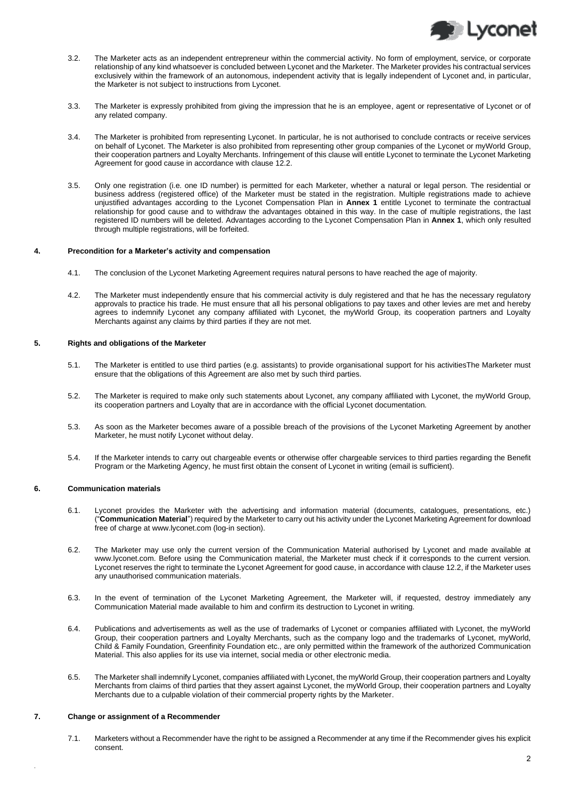

- 3.2. The Marketer acts as an independent entrepreneur within the commercial activity. No form of employment, service, or corporate relationship of any kind whatsoever is concluded between Lyconet and the Marketer. The Marketer provides his contractual services exclusively within the framework of an autonomous, independent activity that is legally independent of Lyconet and, in particular, the Marketer is not subject to instructions from Lyconet.
- 3.3. The Marketer is expressly prohibited from giving the impression that he is an employee, agent or representative of Lyconet or of any related company.
- 3.4. The Marketer is prohibited from representing Lyconet. In particular, he is not authorised to conclude contracts or receive services on behalf of Lyconet. The Marketer is also prohibited from representing other group companies of the Lyconet or myWorld Group, their cooperation partners and Loyalty Merchants. Infringement of this clause will entitle Lyconet to terminate the Lyconet Marketing Agreement for good cause in accordance with clause 12.2.
- 3.5. Only one registration (i.e. one ID number) is permitted for each Marketer, whether a natural or legal person. The residential or business address (registered office) of the Marketer must be stated in the registration. Multiple registrations made to achieve unjustified advantages according to the Lyconet Compensation Plan in **Annex 1** entitle Lyconet to terminate the contractual relationship for good cause and to withdraw the advantages obtained in this way. In the case of multiple registrations, the last registered ID numbers will be deleted. Advantages according to the Lyconet Compensation Plan in **Annex 1**, which only resulted through multiple registrations, will be forfeited.

#### **4. Precondition for a Marketer's activity and compensation**

- 4.1. The conclusion of the Lyconet Marketing Agreement requires natural persons to have reached the age of majority.
- 4.2. The Marketer must independently ensure that his commercial activity is duly registered and that he has the necessary regulatory approvals to practice his trade. He must ensure that all his personal obligations to pay taxes and other levies are met and hereby agrees to indemnify Lyconet any company affiliated with Lyconet, the myWorld Group, its cooperation partners and Loyalty Merchants against any claims by third parties if they are not met.

#### **5. Rights and obligations of the Marketer**

- 5.1. The Marketer is entitled to use third parties (e.g. assistants) to provide organisational support for his activitiesThe Marketer must ensure that the obligations of this Agreement are also met by such third parties.
- 5.2. The Marketer is required to make only such statements about Lyconet, any company affiliated with Lyconet, the myWorld Group, its cooperation partners and Loyalty that are in accordance with the official Lyconet documentation.
- 5.3. As soon as the Marketer becomes aware of a possible breach of the provisions of the Lyconet Marketing Agreement by another Marketer, he must notify Lyconet without delay.
- 5.4. If the Marketer intends to carry out chargeable events or otherwise offer chargeable services to third parties regarding the Benefit Program or the Marketing Agency, he must first obtain the consent of Lyconet in writing (email is sufficient).

## **6. Communication materials**

- 6.1. Lyconet provides the Marketer with the advertising and information material (documents, catalogues, presentations, etc.) ("**Communication Material**") required by the Marketer to carry out his activity under the Lyconet Marketing Agreement for download free of charge a[t www.lyconet.com](http://www.lyconet.com/) (log-in section).
- 6.2. The Marketer may use only the current version of the Communication Material authorised by Lyconet and made available at www.lyconet.com. Before using the Communication material, the Marketer must check if it corresponds to the current version. Lyconet reserves the right to terminate the Lyconet Agreement for good cause, in accordance with clause 12.2, if the Marketer uses any unauthorised communication materials.
- 6.3. In the event of termination of the Lyconet Marketing Agreement, the Marketer will, if requested, destroy immediately any Communication Material made available to him and confirm its destruction to Lyconet in writing.
- 6.4. Publications and advertisements as well as the use of trademarks of Lyconet or companies affiliated with Lyconet, the myWorld Group, their cooperation partners and Loyalty Merchants, such as the company logo and the trademarks of Lyconet, myWorld, Child & Family Foundation, Greenfinity Foundation etc., are only permitted within the framework of the authorized Communication Material. This also applies for its use via internet, social media or other electronic media.
- 6.5. The Marketer shall indemnify Lyconet, companies affiliated with Lyconet, the myWorld Group, their cooperation partners and Loyalty Merchants from claims of third parties that they assert against Lyconet, the myWorld Group, their cooperation partners and Loyalty Merchants due to a culpable violation of their commercial property rights by the Marketer.

### **7. Change or assignment of a Recommender**

.

7.1. Marketers without a Recommender have the right to be assigned a Recommender at any time if the Recommender gives his explicit consent.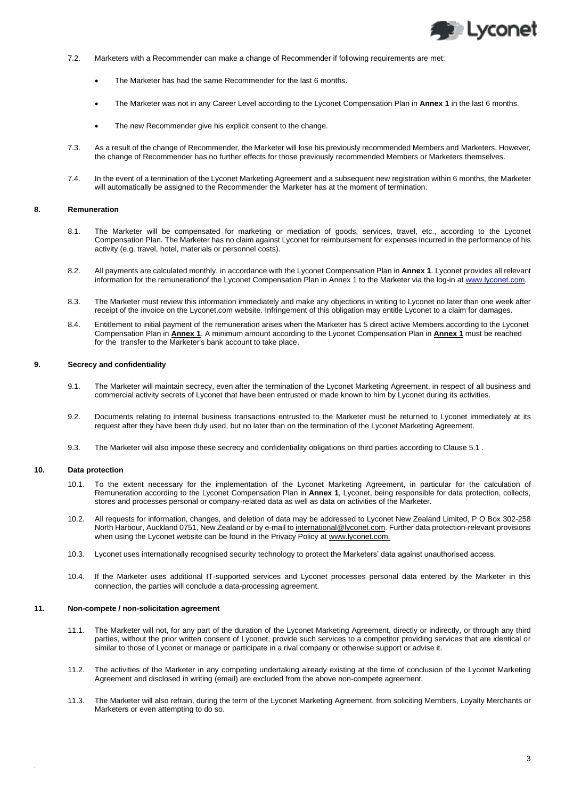

- 7.2. Marketers with a Recommender can make a change of Recommender if following requirements are met:
	- The Marketer has had the same Recommender for the last 6 months.
	- The Marketer was not in any Career Level according to the Lyconet Compensation Plan in **Annex 1** in the last 6 months.
	- The new Recommender give his explicit consent to the change.
- 7.3. As a result of the change of Recommender, the Marketer will lose his previously recommended Members and Marketers. However, the change of Recommender has no further effects for those previously recommended Members or Marketers themselves.
- 7.4. In the event of a termination of the Lyconet Marketing Agreement and a subsequent new registration within 6 months, the Marketer will automatically be assigned to the Recommender the Marketer has at the moment of termination.

#### **8. Remuneration**

- 8.1. The Marketer will be compensated for marketing or mediation of goods, services, travel, etc., according to the Lyconet Compensation Plan. The Marketer has no claim against Lyconet for reimbursement for expenses incurred in the performance of his activity (e.g. travel, hotel, materials or personnel costs).
- 8.2. All payments are calculated monthly, in accordance with the Lyconet Compensation Plan in **Annex 1**. Lyconet provides all relevant information for the remunerationof the Lyconet Compensation Plan in Annex 1 to the Marketer via the log-in a[t www.lyconet.com.](http://www.lyconet.com/)
- 8.3. The Marketer must review this information immediately and make any objections in writing to Lyconet no later than one week after receipt of the invoice on the Lyconet.com website. Infringement of this obligation may entitle Lyconet to a claim for damages.
- 8.4. Entitlement to initial payment of the remuneration arises when the Marketer has 5 direct active Members according to the Lyconet Compensation Plan in **Annex 1**. A minimum amount according to the Lyconet Compensation Plan in **Annex 1** must be reached for the transfer to the Marketer's bank account to take place.

#### **9. Secrecy and confidentiality**

- 9.1. The Marketer will maintain secrecy, even after the termination of the Lyconet Marketing Agreement, in respect of all business and commercial activity secrets of Lyconet that have been entrusted or made known to him by Lyconet during its activities.
- 9.2. Documents relating to internal business transactions entrusted to the Marketer must be returned to Lyconet immediately at its request after they have been duly used, but no later than on the termination of the Lyconet Marketing Agreement.
- 9.3. The Marketer will also impose these secrecy and confidentiality obligations on third parties according to Clause 5.1 .

# **10. Data protection**

.

- 10.1. To the extent necessary for the implementation of the Lyconet Marketing Agreement, in particular for the calculation of Remuneration according to the Lyconet Compensation Plan in **Annex 1**, Lyconet, being responsible for data protection, collects, stores and processes personal or company-related data as well as data on activities of the Marketer.
- 10.2. All requests for information, changes, and deletion of data may be addressed to Lyconet New Zealand Limited, P O Box 302-258 North Harbour, Auckland 0751, New Zealand or by e-mail to international@lyconet.com. Further data protection-relevant provisions when using the Lyconet website can be found in the Privacy Policy at www.lyconet.com.
- 10.3. Lyconet uses internationally recognised security technology to protect the Marketers' data against unauthorised access.
- 10.4. If the Marketer uses additional IT-supported services and Lyconet processes personal data entered by the Marketer in this connection, the parties will conclude a data-processing agreement.

### **11. Non-compete / non-solicitation agreement**

- 11.1. The Marketer will not, for any part of the duration of the Lyconet Marketing Agreement, directly or indirectly, or through any third parties, without the prior written consent of Lyconet, provide such services to a competitor providing services that are identical or similar to those of Lyconet or manage or participate in a rival company or otherwise support or advise it.
- 11.2. The activities of the Marketer in any competing undertaking already existing at the time of conclusion of the Lyconet Marketing Agreement and disclosed in writing (email) are excluded from the above non-compete agreement.
- 11.3. The Marketer will also refrain, during the term of the Lyconet Marketing Agreement, from soliciting Members, Loyalty Merchants or Marketers or even attempting to do so.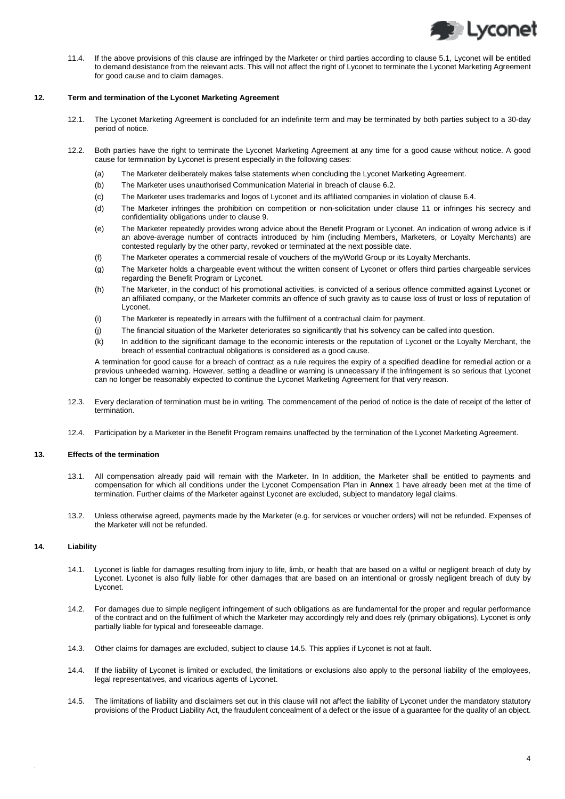

11.4. If the above provisions of this clause are infringed by the Marketer or third parties according to clause 5.1, Lyconet will be entitled to demand desistance from the relevant acts. This will not affect the right of Lyconet to terminate the Lyconet Marketing Agreement for good cause and to claim damages.

## **12. Term and termination of the Lyconet Marketing Agreement**

- 12.1. The Lyconet Marketing Agreement is concluded for an indefinite term and may be terminated by both parties subject to a 30-day period of notice.
- 12.2. Both parties have the right to terminate the Lyconet Marketing Agreement at any time for a good cause without notice. A good cause for termination by Lyconet is present especially in the following cases:
	- (a) The Marketer deliberately makes false statements when concluding the Lyconet Marketing Agreement.
	- (b) The Marketer uses unauthorised Communication Material in breach of clause 6.2.
	- (c) The Marketer uses trademarks and logos of Lyconet and its affiliated companies in violation of clause 6.4.
	- (d) The Marketer infringes the prohibition on competition or non-solicitation under clause 11 or infringes his secrecy and confidentiality obligations under to clause 9.
	- (e) The Marketer repeatedly provides wrong advice about the Benefit Program or Lyconet. An indication of wrong advice is if an above-average number of contracts introduced by him (including Members, Marketers, or Loyalty Merchants) are contested regularly by the other party, revoked or terminated at the next possible date.
	- (f) The Marketer operates a commercial resale of vouchers of the myWorld Group or its Loyalty Merchants.
	- (g) The Marketer holds a chargeable event without the written consent of Lyconet or offers third parties chargeable services regarding the Benefit Program or Lyconet.
	- (h) The Marketer, in the conduct of his promotional activities, is convicted of a serious offence committed against Lyconet or an affiliated company, or the Marketer commits an offence of such gravity as to cause loss of trust or loss of reputation of Lyconet.
	- (i) The Marketer is repeatedly in arrears with the fulfilment of a contractual claim for payment.
	- (j) The financial situation of the Marketer deteriorates so significantly that his solvency can be called into question.
	- (k) In addition to the significant damage to the economic interests or the reputation of Lyconet or the Loyalty Merchant, the breach of essential contractual obligations is considered as a good cause.

A termination for good cause for a breach of contract as a rule requires the expiry of a specified deadline for remedial action or a previous unheeded warning. However, setting a deadline or warning is unnecessary if the infringement is so serious that Lyconet can no longer be reasonably expected to continue the Lyconet Marketing Agreement for that very reason.

- 12.3. Every declaration of termination must be in writing. The commencement of the period of notice is the date of receipt of the letter of termination.
- 12.4. Participation by a Marketer in the Benefit Program remains unaffected by the termination of the Lyconet Marketing Agreement.

## **13. Effects of the termination**

- 13.1. All compensation already paid will remain with the Marketer. In In addition, the Marketer shall be entitled to payments and compensation for which all conditions under the Lyconet Compensation Plan in **Annex** 1 have already been met at the time of termination. Further claims of the Marketer against Lyconet are excluded, subject to mandatory legal claims.
- 13.2. Unless otherwise agreed, payments made by the Marketer (e.g. for services or voucher orders) will not be refunded. Expenses of the Marketer will not be refunded.

# **14. Liability**

.

- 14.1. Lyconet is liable for damages resulting from injury to life, limb, or health that are based on a wilful or negligent breach of duty by Lyconet. Lyconet is also fully liable for other damages that are based on an intentional or grossly negligent breach of duty by Lyconet.
- 14.2. For damages due to simple negligent infringement of such obligations as are fundamental for the proper and regular performance of the contract and on the fulfilment of which the Marketer may accordingly rely and does rely (primary obligations), Lyconet is only partially liable for typical and foreseeable damage.
- 14.3. Other claims for damages are excluded, subject to clause 14.5. This applies if Lyconet is not at fault.
- 14.4. If the liability of Lyconet is limited or excluded, the limitations or exclusions also apply to the personal liability of the employees, legal representatives, and vicarious agents of Lyconet.
- 14.5. The limitations of liability and disclaimers set out in this clause will not affect the liability of Lyconet under the mandatory statutory provisions of the Product Liability Act, the fraudulent concealment of a defect or the issue of a guarantee for the quality of an object.